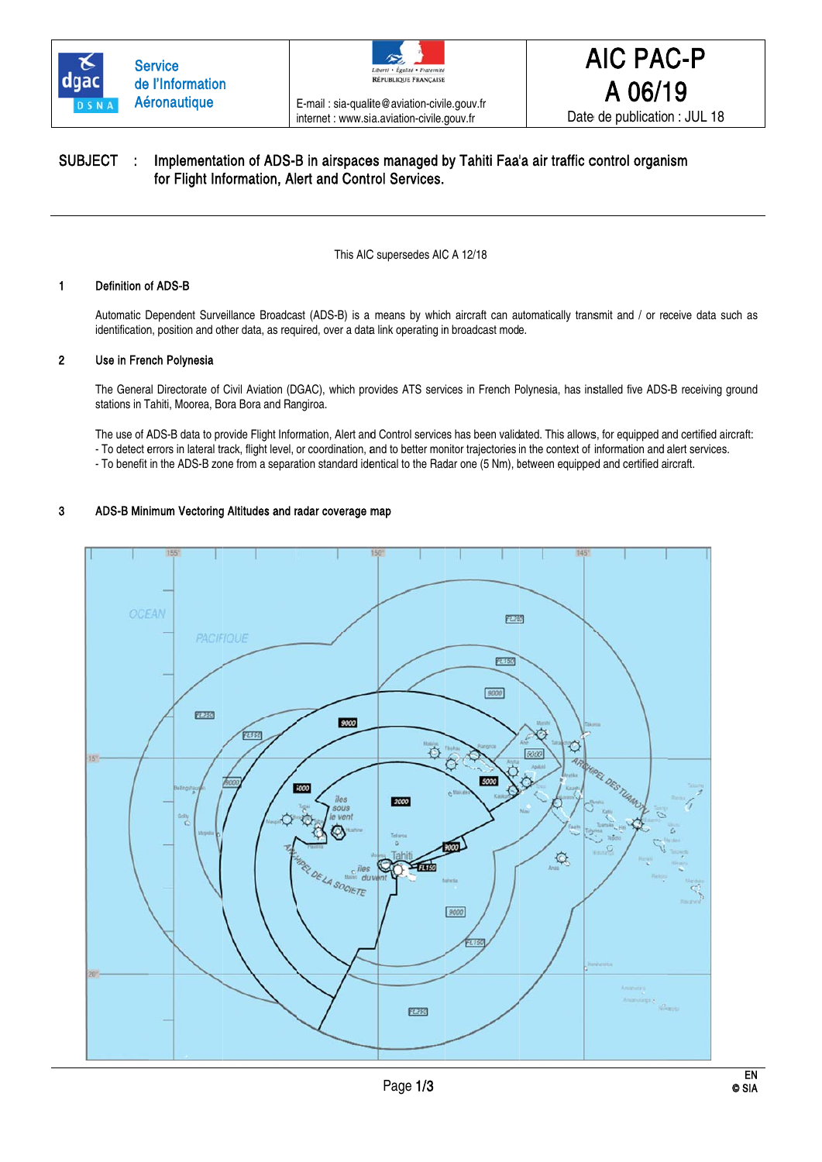



E-mail: sia-qualite@aviation-civile.gouv.fr internet : www.sia.aviation-civile.gouv.fr

A 06/19 Date de publication : JUL 18

**AIC PAC-P** 

#### SUBJECT: Implementation of ADS-B in airspaces managed by Tahiti Faa'a air traffic control organism for Flight Information, Alert and Control Services.

This AIC supersedes AIC A 12/18

#### $\mathbf{1}$ **Definition of ADS-B**

Automatic Dependent Surveillance Broadcast (ADS-B) is a means by which aircraft can automatically transmit and / or receive data such as identification, position and other data, as required, over a data link operating in broadcast mode.

#### $\overline{2}$ Use in French Polynesia

The General Directorate of Civil Aviation (DGAC), which provides ATS services in French Polynesia, has installed five ADS-B receiving ground stations in Tahiti, Moorea, Bora Bora and Rangiroa.

The use of ADS-B data to provide Flight Information, Alert and Control services has been validated. This allows, for equipped and certified aircraft: - To detect errors in lateral track, flight level, or coordination, and to better monitor trajectories in the context of information and alert services.

- To benefit in the ADS-B zone from a separation standard identical to the Radar one (5 Nm), between equipped and certified aircraft.

#### 3 ADS-B Minimum Vectoring Altitudes and radar coverage map

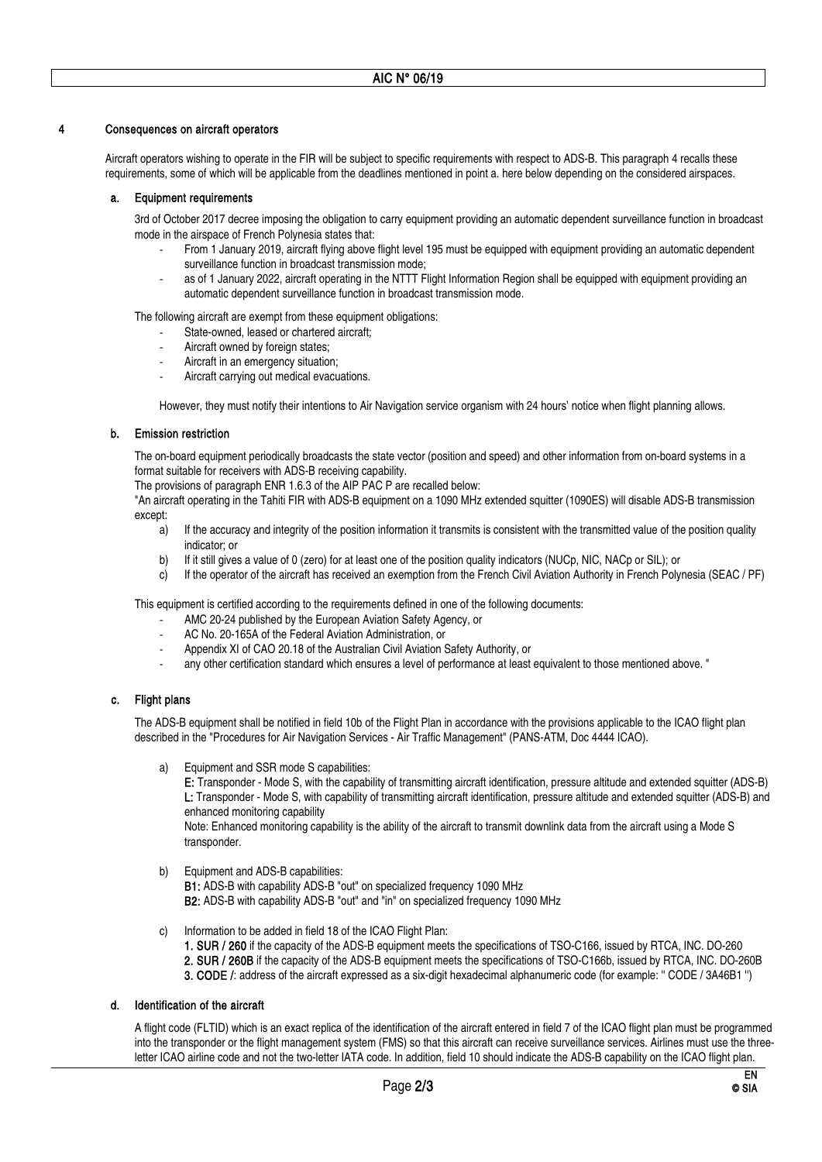## Consequences on aircraft operators

 Aircraft operators wishing to operate in the FIR will be subject to specific requirements with respect to ADS-B. This paragraph 4 recalls these requirements, some of which will be applicable from the deadlines mentioned in point a. here below depending on the considered airspaces.

## a. Equipment requirements

 3rd of October 2017 decree imposing the obligation to carry equipment providing an automatic dependent surveillance function in broadcast mode in the airspace of French Polynesia states that:

- ‐ From 1 January 2019, aircraft flying above flight level 195 must be equipped with equipment providing an automatic dependent surveillance function in broadcast transmission mode;
- as of 1 January 2022, aircraft operating in the NTTT Flight Information Region shall be equipped with equipment providing an automatic dependent surveillance function in broadcast transmission mode.

The following aircraft are exempt from these equipment obligations:

- State-owned, leased or chartered aircraft;
- Aircraft owned by foreign states;
- ‐ Aircraft in an emergency situation;
- ‐ Aircraft carrying out medical evacuations.

However, they must notify their intentions to Air Navigation service organism with 24 hours' notice when flight planning allows.

## b. Emission restriction

 The on-board equipment periodically broadcasts the state vector (position and speed) and other information from on-board systems in a format suitable for receivers with ADS-B receiving capability.

The provisions of paragraph ENR 1.6.3 of the AIP PAC P are recalled below:

"An aircraft operating in the Tahiti FIR with ADS-B equipment on a 1090 MHz extended squitter (1090ES) will disable ADS-B transmission except:

- a) If the accuracy and integrity of the position information it transmits is consistent with the transmitted value of the position quality indicator; or
- b) If it still gives a value of 0 (zero) for at least one of the position quality indicators (NUCp, NIC, NACp or SIL); or
- c) If the operator of the aircraft has received an exemption from the French Civil Aviation Authority in French Polynesia (SEAC / PF)

This equipment is certified according to the requirements defined in one of the following documents:

- ‐ AMC 20-24 published by the European Aviation Safety Agency, or
- ‐ AC No. 20-165A of the Federal Aviation Administration, or
- ‐ Appendix XI of CAO 20.18 of the Australian Civil Aviation Safety Authority, or
- ‐ any other certification standard which ensures a level of performance at least equivalent to those mentioned above. "

## c. Flight plans

 The ADS-B equipment shall be notified in field 10b of the Flight Plan in accordance with the provisions applicable to the ICAO flight plan described in the "Procedures for Air Navigation Services - Air Traffic Management" (PANS-ATM, Doc 4444 ICAO).

a) Equipment and SSR mode S capabilities:

E: Transponder - Mode S, with the capability of transmitting aircraft identification, pressure altitude and extended squitter (ADS-B) L: Transponder - Mode S, with capability of transmitting aircraft identification, pressure altitude and extended squitter (ADS-B) and enhanced monitoring capability

Note: Enhanced monitoring capability is the ability of the aircraft to transmit downlink data from the aircraft using a Mode S transponder.

b) Equipment and ADS-B capabilities:

B1: ADS-B with capability ADS-B "out" on specialized frequency 1090 MHz B2: ADS-B with capability ADS-B "out" and "in" on specialized frequency 1090 MHz

- c) Information to be added in field 18 of the ICAO Flight Plan:
	- 1. SUR / 260 if the capacity of the ADS-B equipment meets the specifications of TSO-C166, issued by RTCA, INC. DO-260

2. SUR / 260B if the capacity of the ADS-B equipment meets the specifications of TSO-C166b, issued by RTCA, INC. DO-260B

3. CODE /: address of the aircraft expressed as a six-digit hexadecimal alphanumeric code (for example: '' CODE / 3A46B1 '')

# d. Identification of the aircraft

 A flight code (FLTID) which is an exact replica of the identification of the aircraft entered in field 7 of the ICAO flight plan must be programmed into the transponder or the flight management system (FMS) so that this aircraft can receive surveillance services. Airlines must use the threeletter ICAO airline code and not the two-letter IATA code. In addition, field 10 should indicate the ADS-B capability on the ICAO flight plan.